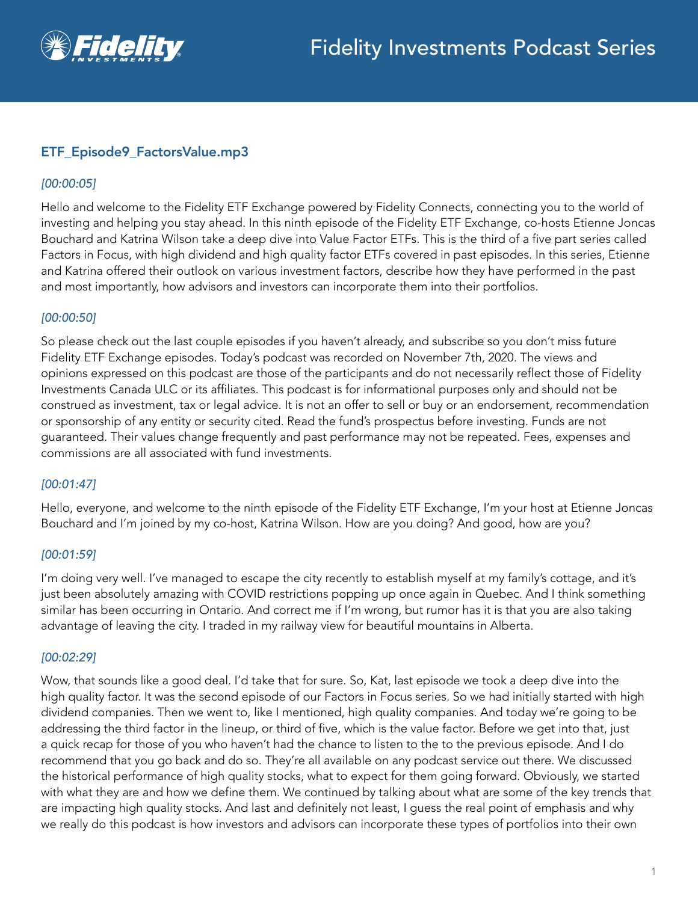

# ETF\_Episode9\_FactorsValue.mp3

#### *[00:00:05]*

Hello and welcome to the Fidelity ETF Exchange powered by Fidelity Connects, connecting you to the world of investing and helping you stay ahead. In this ninth episode of the Fidelity ETF Exchange, co-hosts Etienne Joncas Bouchard and Katrina Wilson take a deep dive into Value Factor ETFs. This is the third of a five part series called Factors in Focus, with high dividend and high quality factor ETFs covered in past episodes. In this series, Etienne and Katrina offered their outlook on various investment factors, describe how they have performed in the past and most importantly, how advisors and investors can incorporate them into their portfolios.

#### *[00:00:50]*

So please check out the last couple episodes if you haven't already, and subscribe so you don't miss future Fidelity ETF Exchange episodes. Today's podcast was recorded on November 7th, 2020. The views and opinions expressed on this podcast are those of the participants and do not necessarily reflect those of Fidelity Investments Canada ULC or its affiliates. This podcast is for informational purposes only and should not be construed as investment, tax or legal advice. It is not an offer to sell or buy or an endorsement, recommendation or sponsorship of any entity or security cited. Read the fund's prospectus before investing. Funds are not guaranteed. Their values change frequently and past performance may not be repeated. Fees, expenses and commissions are all associated with fund investments.

#### *[00:01:47]*

Hello, everyone, and welcome to the ninth episode of the Fidelity ETF Exchange, I'm your host at Etienne Joncas Bouchard and I'm joined by my co-host, Katrina Wilson. How are you doing? And good, how are you?

#### *[00:01:59]*

I'm doing very well. I've managed to escape the city recently to establish myself at my family's cottage, and it's just been absolutely amazing with COVID restrictions popping up once again in Quebec. And I think something similar has been occurring in Ontario. And correct me if I'm wrong, but rumor has it is that you are also taking advantage of leaving the city. I traded in my railway view for beautiful mountains in Alberta.

#### *[00:02:29]*

Wow, that sounds like a good deal. I'd take that for sure. So, Kat, last episode we took a deep dive into the high quality factor. It was the second episode of our Factors in Focus series. So we had initially started with high dividend companies. Then we went to, like I mentioned, high quality companies. And today we're going to be addressing the third factor in the lineup, or third of five, which is the value factor. Before we get into that, just a quick recap for those of you who haven't had the chance to listen to the to the previous episode. And I do recommend that you go back and do so. They're all available on any podcast service out there. We discussed the historical performance of high quality stocks, what to expect for them going forward. Obviously, we started with what they are and how we define them. We continued by talking about what are some of the key trends that are impacting high quality stocks. And last and definitely not least, I guess the real point of emphasis and why we really do this podcast is how investors and advisors can incorporate these types of portfolios into their own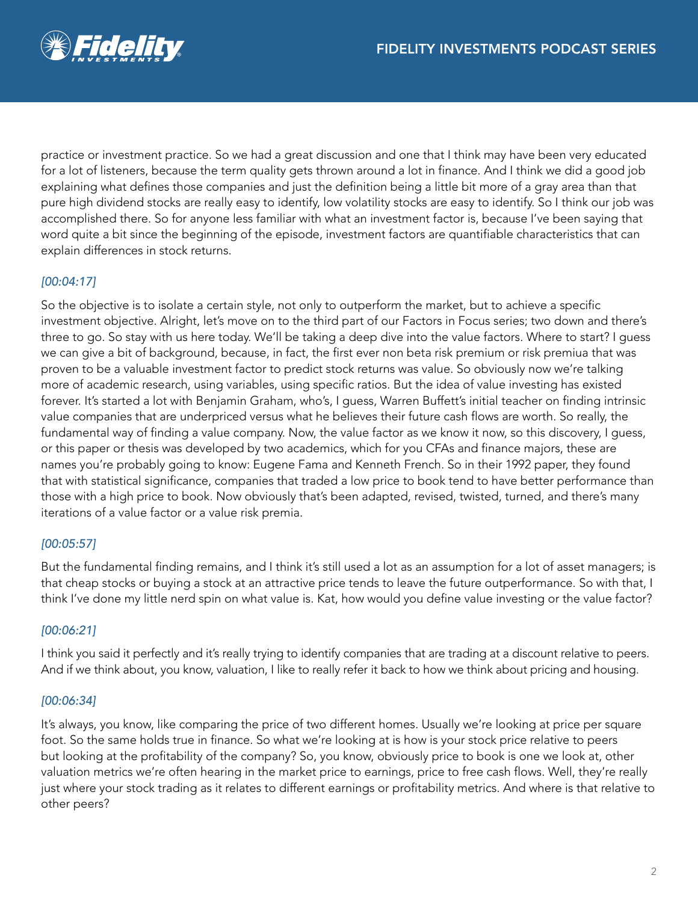

practice or investment practice. So we had a great discussion and one that I think may have been very educated for a lot of listeners, because the term quality gets thrown around a lot in finance. And I think we did a good job explaining what defines those companies and just the definition being a little bit more of a gray area than that pure high dividend stocks are really easy to identify, low volatility stocks are easy to identify. So I think our job was accomplished there. So for anyone less familiar with what an investment factor is, because I've been saying that word quite a bit since the beginning of the episode, investment factors are quantifiable characteristics that can explain differences in stock returns.

# *[00:04:17]*

So the objective is to isolate a certain style, not only to outperform the market, but to achieve a specific investment objective. Alright, let's move on to the third part of our Factors in Focus series; two down and there's three to go. So stay with us here today. We'll be taking a deep dive into the value factors. Where to start? I guess we can give a bit of background, because, in fact, the first ever non beta risk premium or risk premiua that was proven to be a valuable investment factor to predict stock returns was value. So obviously now we're talking more of academic research, using variables, using specific ratios. But the idea of value investing has existed forever. It's started a lot with Benjamin Graham, who's, I guess, Warren Buffett's initial teacher on finding intrinsic value companies that are underpriced versus what he believes their future cash flows are worth. So really, the fundamental way of finding a value company. Now, the value factor as we know it now, so this discovery, I guess, or this paper or thesis was developed by two academics, which for you CFAs and finance majors, these are names you're probably going to know: Eugene Fama and Kenneth French. So in their 1992 paper, they found that with statistical significance, companies that traded a low price to book tend to have better performance than those with a high price to book. Now obviously that's been adapted, revised, twisted, turned, and there's many iterations of a value factor or a value risk premia.

## *[00:05:57]*

But the fundamental finding remains, and I think it's still used a lot as an assumption for a lot of asset managers; is that cheap stocks or buying a stock at an attractive price tends to leave the future outperformance. So with that, I think I've done my little nerd spin on what value is. Kat, how would you define value investing or the value factor?

## *[00:06:21]*

I think you said it perfectly and it's really trying to identify companies that are trading at a discount relative to peers. And if we think about, you know, valuation, I like to really refer it back to how we think about pricing and housing.

#### *[00:06:34]*

It's always, you know, like comparing the price of two different homes. Usually we're looking at price per square foot. So the same holds true in finance. So what we're looking at is how is your stock price relative to peers but looking at the profitability of the company? So, you know, obviously price to book is one we look at, other valuation metrics we're often hearing in the market price to earnings, price to free cash flows. Well, they're really just where your stock trading as it relates to different earnings or profitability metrics. And where is that relative to other peers?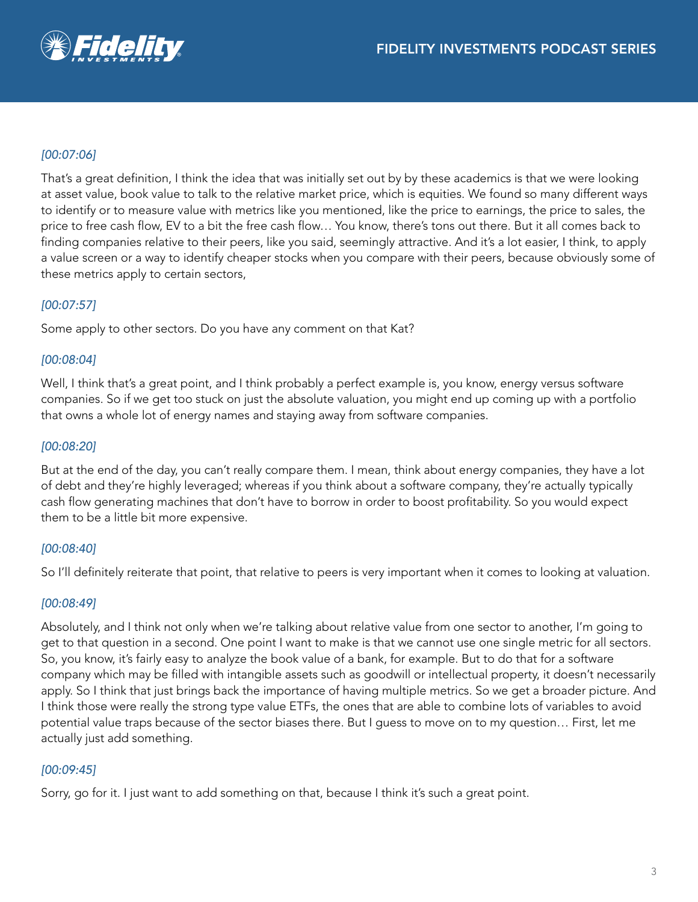# *[00:07:06]*

That's a great definition, I think the idea that was initially set out by by these academics is that we were looking at asset value, book value to talk to the relative market price, which is equities. We found so many different ways to identify or to measure value with metrics like you mentioned, like the price to earnings, the price to sales, the price to free cash flow, EV to a bit the free cash flow… You know, there's tons out there. But it all comes back to finding companies relative to their peers, like you said, seemingly attractive. And it's a lot easier, I think, to apply a value screen or a way to identify cheaper stocks when you compare with their peers, because obviously some of these metrics apply to certain sectors,

## *[00:07:57]*

Some apply to other sectors. Do you have any comment on that Kat?

#### *[00:08:04]*

Well, I think that's a great point, and I think probably a perfect example is, you know, energy versus software companies. So if we get too stuck on just the absolute valuation, you might end up coming up with a portfolio that owns a whole lot of energy names and staying away from software companies.

#### *[00:08:20]*

But at the end of the day, you can't really compare them. I mean, think about energy companies, they have a lot of debt and they're highly leveraged; whereas if you think about a software company, they're actually typically cash flow generating machines that don't have to borrow in order to boost profitability. So you would expect them to be a little bit more expensive.

## *[00:08:40]*

So I'll definitely reiterate that point, that relative to peers is very important when it comes to looking at valuation.

#### *[00:08:49]*

Absolutely, and I think not only when we're talking about relative value from one sector to another, I'm going to get to that question in a second. One point I want to make is that we cannot use one single metric for all sectors. So, you know, it's fairly easy to analyze the book value of a bank, for example. But to do that for a software company which may be filled with intangible assets such as goodwill or intellectual property, it doesn't necessarily apply. So I think that just brings back the importance of having multiple metrics. So we get a broader picture. And I think those were really the strong type value ETFs, the ones that are able to combine lots of variables to avoid potential value traps because of the sector biases there. But I guess to move on to my question… First, let me actually just add something.

## *[00:09:45]*

Sorry, go for it. I just want to add something on that, because I think it's such a great point.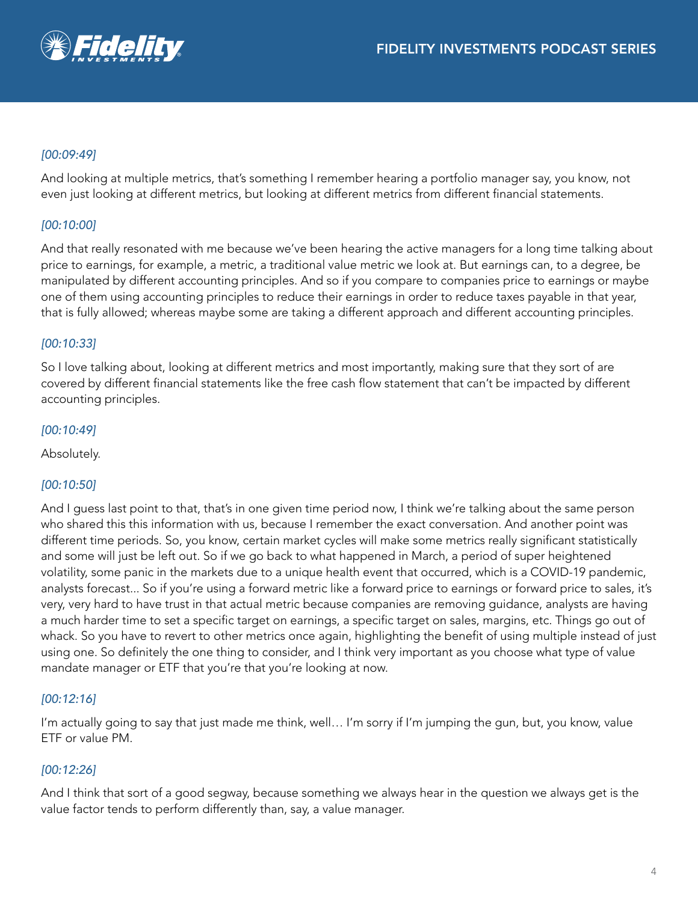## *[00:09:49]*

And looking at multiple metrics, that's something I remember hearing a portfolio manager say, you know, not even just looking at different metrics, but looking at different metrics from different financial statements.

## *[00:10:00]*

And that really resonated with me because we've been hearing the active managers for a long time talking about price to earnings, for example, a metric, a traditional value metric we look at. But earnings can, to a degree, be manipulated by different accounting principles. And so if you compare to companies price to earnings or maybe one of them using accounting principles to reduce their earnings in order to reduce taxes payable in that year, that is fully allowed; whereas maybe some are taking a different approach and different accounting principles.

## *[00:10:33]*

So I love talking about, looking at different metrics and most importantly, making sure that they sort of are covered by different financial statements like the free cash flow statement that can't be impacted by different accounting principles.

#### *[00:10:49]*

Absolutely.

## *[00:10:50]*

And I guess last point to that, that's in one given time period now, I think we're talking about the same person who shared this this information with us, because I remember the exact conversation. And another point was different time periods. So, you know, certain market cycles will make some metrics really significant statistically and some will just be left out. So if we go back to what happened in March, a period of super heightened volatility, some panic in the markets due to a unique health event that occurred, which is a COVID-19 pandemic, analysts forecast... So if you're using a forward metric like a forward price to earnings or forward price to sales, it's very, very hard to have trust in that actual metric because companies are removing guidance, analysts are having a much harder time to set a specific target on earnings, a specific target on sales, margins, etc. Things go out of whack. So you have to revert to other metrics once again, highlighting the benefit of using multiple instead of just using one. So definitely the one thing to consider, and I think very important as you choose what type of value mandate manager or ETF that you're that you're looking at now.

## *[00:12:16]*

I'm actually going to say that just made me think, well… I'm sorry if I'm jumping the gun, but, you know, value ETF or value PM.

## *[00:12:26]*

And I think that sort of a good segway, because something we always hear in the question we always get is the value factor tends to perform differently than, say, a value manager.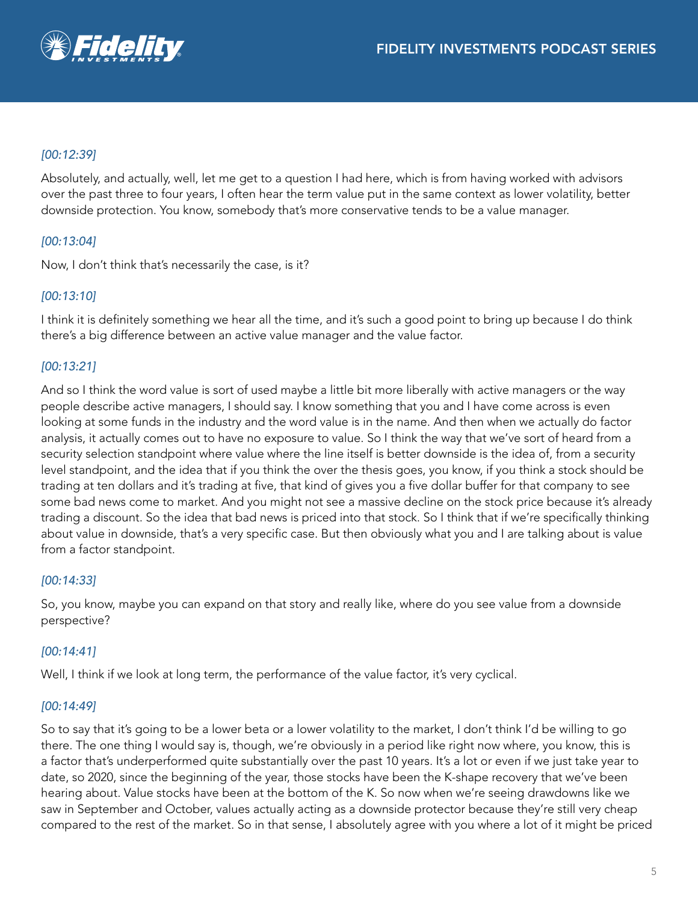# *[00:12:39]*

Absolutely, and actually, well, let me get to a question I had here, which is from having worked with advisors over the past three to four years, I often hear the term value put in the same context as lower volatility, better downside protection. You know, somebody that's more conservative tends to be a value manager.

## *[00:13:04]*

Now, I don't think that's necessarily the case, is it?

## *[00:13:10]*

I think it is definitely something we hear all the time, and it's such a good point to bring up because I do think there's a big difference between an active value manager and the value factor.

## *[00:13:21]*

And so I think the word value is sort of used maybe a little bit more liberally with active managers or the way people describe active managers, I should say. I know something that you and I have come across is even looking at some funds in the industry and the word value is in the name. And then when we actually do factor analysis, it actually comes out to have no exposure to value. So I think the way that we've sort of heard from a security selection standpoint where value where the line itself is better downside is the idea of, from a security level standpoint, and the idea that if you think the over the thesis goes, you know, if you think a stock should be trading at ten dollars and it's trading at five, that kind of gives you a five dollar buffer for that company to see some bad news come to market. And you might not see a massive decline on the stock price because it's already trading a discount. So the idea that bad news is priced into that stock. So I think that if we're specifically thinking about value in downside, that's a very specific case. But then obviously what you and I are talking about is value from a factor standpoint.

#### *[00:14:33]*

So, you know, maybe you can expand on that story and really like, where do you see value from a downside perspective?

#### *[00:14:41]*

Well, I think if we look at long term, the performance of the value factor, it's very cyclical.

#### *[00:14:49]*

So to say that it's going to be a lower beta or a lower volatility to the market, I don't think I'd be willing to go there. The one thing I would say is, though, we're obviously in a period like right now where, you know, this is a factor that's underperformed quite substantially over the past 10 years. It's a lot or even if we just take year to date, so 2020, since the beginning of the year, those stocks have been the K-shape recovery that we've been hearing about. Value stocks have been at the bottom of the K. So now when we're seeing drawdowns like we saw in September and October, values actually acting as a downside protector because they're still very cheap compared to the rest of the market. So in that sense, I absolutely agree with you where a lot of it might be priced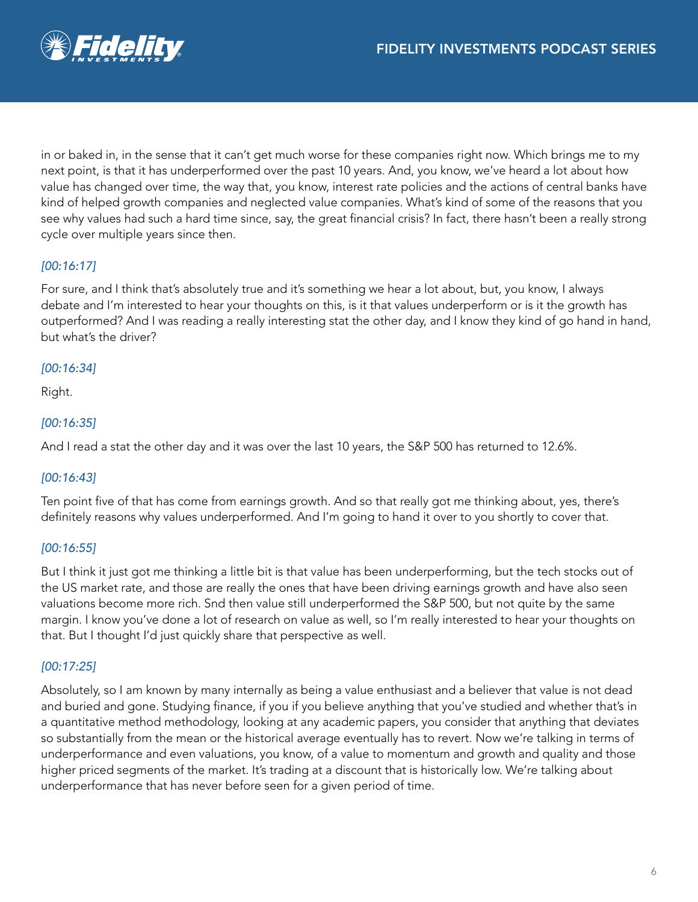

in or baked in, in the sense that it can't get much worse for these companies right now. Which brings me to my next point, is that it has underperformed over the past 10 years. And, you know, we've heard a lot about how value has changed over time, the way that, you know, interest rate policies and the actions of central banks have kind of helped growth companies and neglected value companies. What's kind of some of the reasons that you see why values had such a hard time since, say, the great financial crisis? In fact, there hasn't been a really strong cycle over multiple years since then.

## *[00:16:17]*

For sure, and I think that's absolutely true and it's something we hear a lot about, but, you know, I always debate and I'm interested to hear your thoughts on this, is it that values underperform or is it the growth has outperformed? And I was reading a really interesting stat the other day, and I know they kind of go hand in hand, but what's the driver?

#### *[00:16:34]*

Right.

#### *[00:16:35]*

And I read a stat the other day and it was over the last 10 years, the S&P 500 has returned to 12.6%.

#### *[00:16:43]*

Ten point five of that has come from earnings growth. And so that really got me thinking about, yes, there's definitely reasons why values underperformed. And I'm going to hand it over to you shortly to cover that.

## *[00:16:55]*

But I think it just got me thinking a little bit is that value has been underperforming, but the tech stocks out of the US market rate, and those are really the ones that have been driving earnings growth and have also seen valuations become more rich. Snd then value still underperformed the S&P 500, but not quite by the same margin. I know you've done a lot of research on value as well, so I'm really interested to hear your thoughts on that. But I thought I'd just quickly share that perspective as well.

## *[00:17:25]*

Absolutely, so I am known by many internally as being a value enthusiast and a believer that value is not dead and buried and gone. Studying finance, if you if you believe anything that you've studied and whether that's in a quantitative method methodology, looking at any academic papers, you consider that anything that deviates so substantially from the mean or the historical average eventually has to revert. Now we're talking in terms of underperformance and even valuations, you know, of a value to momentum and growth and quality and those higher priced segments of the market. It's trading at a discount that is historically low. We're talking about underperformance that has never before seen for a given period of time.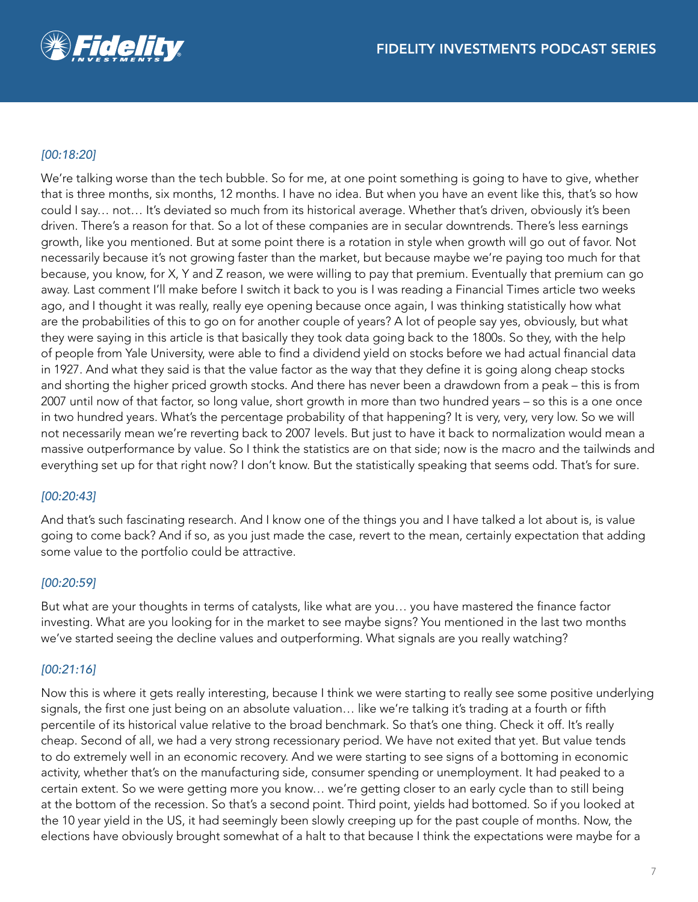

## *[00:18:20]*

We're talking worse than the tech bubble. So for me, at one point something is going to have to give, whether that is three months, six months, 12 months. I have no idea. But when you have an event like this, that's so how could I say… not… It's deviated so much from its historical average. Whether that's driven, obviously it's been driven. There's a reason for that. So a lot of these companies are in secular downtrends. There's less earnings growth, like you mentioned. But at some point there is a rotation in style when growth will go out of favor. Not necessarily because it's not growing faster than the market, but because maybe we're paying too much for that because, you know, for X, Y and Z reason, we were willing to pay that premium. Eventually that premium can go away. Last comment I'll make before I switch it back to you is I was reading a Financial Times article two weeks ago, and I thought it was really, really eye opening because once again, I was thinking statistically how what are the probabilities of this to go on for another couple of years? A lot of people say yes, obviously, but what they were saying in this article is that basically they took data going back to the 1800s. So they, with the help of people from Yale University, were able to find a dividend yield on stocks before we had actual financial data in 1927. And what they said is that the value factor as the way that they define it is going along cheap stocks and shorting the higher priced growth stocks. And there has never been a drawdown from a peak – this is from 2007 until now of that factor, so long value, short growth in more than two hundred years – so this is a one once in two hundred years. What's the percentage probability of that happening? It is very, very, very low. So we will not necessarily mean we're reverting back to 2007 levels. But just to have it back to normalization would mean a massive outperformance by value. So I think the statistics are on that side; now is the macro and the tailwinds and everything set up for that right now? I don't know. But the statistically speaking that seems odd. That's for sure.

#### *[00:20:43]*

And that's such fascinating research. And I know one of the things you and I have talked a lot about is, is value going to come back? And if so, as you just made the case, revert to the mean, certainly expectation that adding some value to the portfolio could be attractive.

## *[00:20:59]*

But what are your thoughts in terms of catalysts, like what are you… you have mastered the finance factor investing. What are you looking for in the market to see maybe signs? You mentioned in the last two months we've started seeing the decline values and outperforming. What signals are you really watching?

## *[00:21:16]*

Now this is where it gets really interesting, because I think we were starting to really see some positive underlying signals, the first one just being on an absolute valuation… like we're talking it's trading at a fourth or fifth percentile of its historical value relative to the broad benchmark. So that's one thing. Check it off. It's really cheap. Second of all, we had a very strong recessionary period. We have not exited that yet. But value tends to do extremely well in an economic recovery. And we were starting to see signs of a bottoming in economic activity, whether that's on the manufacturing side, consumer spending or unemployment. It had peaked to a certain extent. So we were getting more you know… we're getting closer to an early cycle than to still being at the bottom of the recession. So that's a second point. Third point, yields had bottomed. So if you looked at the 10 year yield in the US, it had seemingly been slowly creeping up for the past couple of months. Now, the elections have obviously brought somewhat of a halt to that because I think the expectations were maybe for a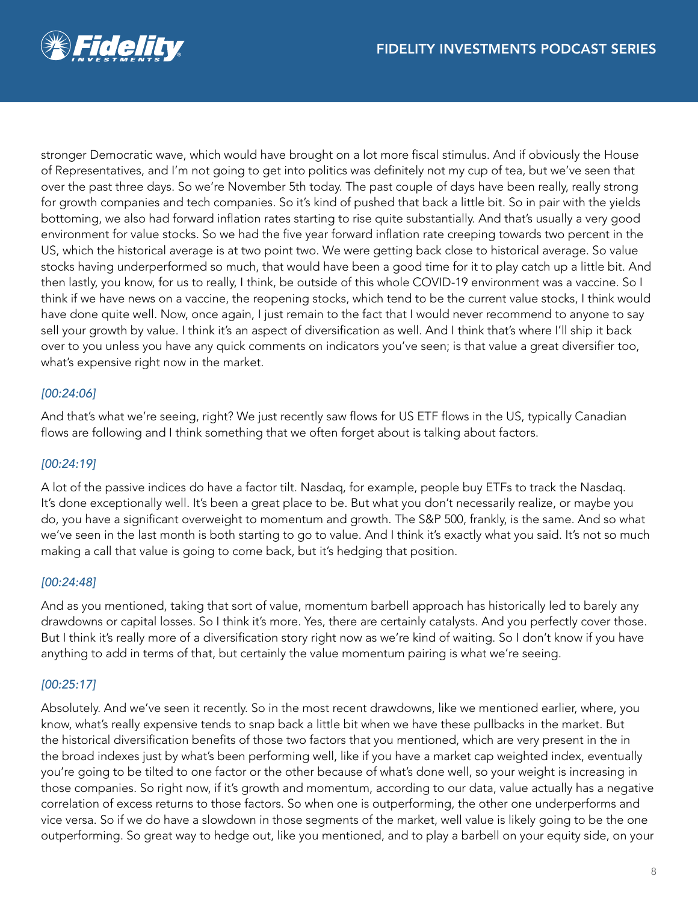

stronger Democratic wave, which would have brought on a lot more fiscal stimulus. And if obviously the House of Representatives, and I'm not going to get into politics was definitely not my cup of tea, but we've seen that over the past three days. So we're November 5th today. The past couple of days have been really, really strong for growth companies and tech companies. So it's kind of pushed that back a little bit. So in pair with the yields bottoming, we also had forward inflation rates starting to rise quite substantially. And that's usually a very good environment for value stocks. So we had the five year forward inflation rate creeping towards two percent in the US, which the historical average is at two point two. We were getting back close to historical average. So value stocks having underperformed so much, that would have been a good time for it to play catch up a little bit. And then lastly, you know, for us to really, I think, be outside of this whole COVID-19 environment was a vaccine. So I think if we have news on a vaccine, the reopening stocks, which tend to be the current value stocks, I think would have done quite well. Now, once again, I just remain to the fact that I would never recommend to anyone to say sell your growth by value. I think it's an aspect of diversification as well. And I think that's where I'll ship it back over to you unless you have any quick comments on indicators you've seen; is that value a great diversifier too, what's expensive right now in the market.

## *[00:24:06]*

And that's what we're seeing, right? We just recently saw flows for US ETF flows in the US, typically Canadian flows are following and I think something that we often forget about is talking about factors.

#### *[00:24:19]*

A lot of the passive indices do have a factor tilt. Nasdaq, for example, people buy ETFs to track the Nasdaq. It's done exceptionally well. It's been a great place to be. But what you don't necessarily realize, or maybe you do, you have a significant overweight to momentum and growth. The S&P 500, frankly, is the same. And so what we've seen in the last month is both starting to go to value. And I think it's exactly what you said. It's not so much making a call that value is going to come back, but it's hedging that position.

#### *[00:24:48]*

And as you mentioned, taking that sort of value, momentum barbell approach has historically led to barely any drawdowns or capital losses. So I think it's more. Yes, there are certainly catalysts. And you perfectly cover those. But I think it's really more of a diversification story right now as we're kind of waiting. So I don't know if you have anything to add in terms of that, but certainly the value momentum pairing is what we're seeing.

#### *[00:25:17]*

Absolutely. And we've seen it recently. So in the most recent drawdowns, like we mentioned earlier, where, you know, what's really expensive tends to snap back a little bit when we have these pullbacks in the market. But the historical diversification benefits of those two factors that you mentioned, which are very present in the in the broad indexes just by what's been performing well, like if you have a market cap weighted index, eventually you're going to be tilted to one factor or the other because of what's done well, so your weight is increasing in those companies. So right now, if it's growth and momentum, according to our data, value actually has a negative correlation of excess returns to those factors. So when one is outperforming, the other one underperforms and vice versa. So if we do have a slowdown in those segments of the market, well value is likely going to be the one outperforming. So great way to hedge out, like you mentioned, and to play a barbell on your equity side, on your